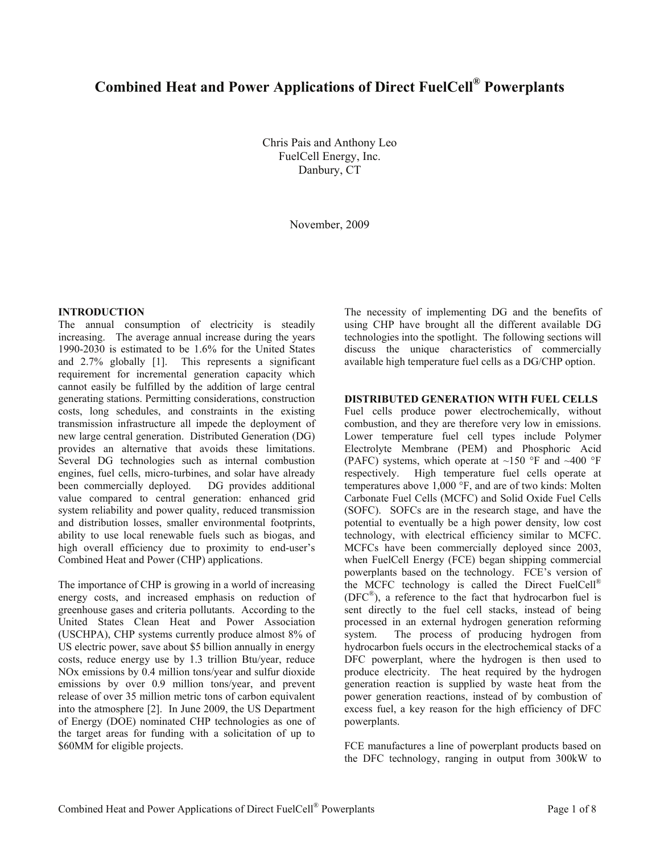# **Combined Heat and Power Applications of Direct FuelCell® Powerplants**

Chris Pais and Anthony Leo FuelCell Energy, Inc. Danbury, CT

November, 2009

# **INTRODUCTION**

The annual consumption of electricity is steadily increasing. The average annual increase during the years 1990-2030 is estimated to be 1.6% for the United States and 2.7% globally [1]. This represents a significant requirement for incremental generation capacity which cannot easily be fulfilled by the addition of large central generating stations. Permitting considerations, construction costs, long schedules, and constraints in the existing transmission infrastructure all impede the deployment of new large central generation. Distributed Generation (DG) provides an alternative that avoids these limitations. Several DG technologies such as internal combustion engines, fuel cells, micro-turbines, and solar have already been commercially deployed. DG provides additional value compared to central generation: enhanced grid system reliability and power quality, reduced transmission and distribution losses, smaller environmental footprints, ability to use local renewable fuels such as biogas, and high overall efficiency due to proximity to end-user's Combined Heat and Power (CHP) applications.

The importance of CHP is growing in a world of increasing energy costs, and increased emphasis on reduction of greenhouse gases and criteria pollutants. According to the United States Clean Heat and Power Association (USCHPA), CHP systems currently produce almost 8% of US electric power, save about \$5 billion annually in energy costs, reduce energy use by 1.3 trillion Btu/year, reduce NOx emissions by 0.4 million tons/year and sulfur dioxide emissions by over 0.9 million tons/year, and prevent release of over 35 million metric tons of carbon equivalent into the atmosphere [2]. In June 2009, the US Department of Energy (DOE) nominated CHP technologies as one of the target areas for funding with a solicitation of up to \$60MM for eligible projects.

The necessity of implementing DG and the benefits of using CHP have brought all the different available DG technologies into the spotlight. The following sections will discuss the unique characteristics of commercially available high temperature fuel cells as a DG/CHP option.

## **DISTRIBUTED GENERATION WITH FUEL CELLS**

Fuel cells produce power electrochemically, without combustion, and they are therefore very low in emissions. Lower temperature fuel cell types include Polymer Electrolyte Membrane (PEM) and Phosphoric Acid (PAFC) systems, which operate at  $\sim$ 150 °F and  $\sim$ 400 °F respectively. High temperature fuel cells operate at temperatures above 1,000 °F, and are of two kinds: Molten Carbonate Fuel Cells (MCFC) and Solid Oxide Fuel Cells (SOFC). SOFCs are in the research stage, and have the potential to eventually be a high power density, low cost technology, with electrical efficiency similar to MCFC. MCFCs have been commercially deployed since 2003, when FuelCell Energy (FCE) began shipping commercial powerplants based on the technology. FCE's version of the MCFC technology is called the Direct FuelCell® (DFC®), a reference to the fact that hydrocarbon fuel is sent directly to the fuel cell stacks, instead of being processed in an external hydrogen generation reforming system. The process of producing hydrogen from hydrocarbon fuels occurs in the electrochemical stacks of a DFC powerplant, where the hydrogen is then used to produce electricity. The heat required by the hydrogen generation reaction is supplied by waste heat from the power generation reactions, instead of by combustion of excess fuel, a key reason for the high efficiency of DFC powerplants.

FCE manufactures a line of powerplant products based on the DFC technology, ranging in output from 300kW to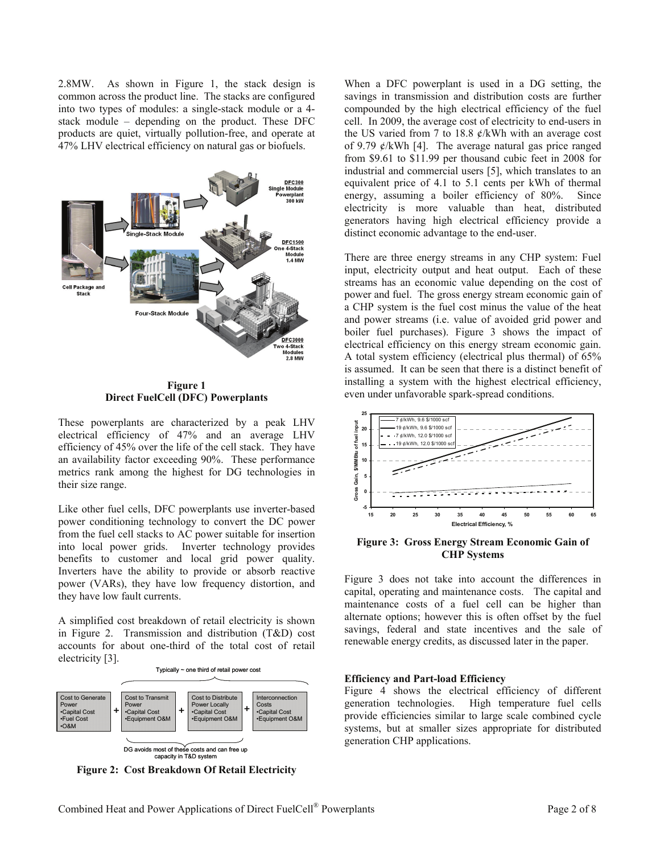2.8MW. As shown in Figure 1, the stack design is common across the product line. The stacks are configured into two types of modules: a single-stack module or a 4 stack module – depending on the product. These DFC products are quiet, virtually pollution-free, and operate at 47% LHV electrical efficiency on natural gas or biofuels.



**Figure 1 Direct FuelCell (DFC) Powerplants** 

These powerplants are characterized by a peak LHV electrical efficiency of 47% and an average LHV efficiency of 45% over the life of the cell stack. They have an availability factor exceeding 90%. These performance metrics rank among the highest for DG technologies in their size range.

Like other fuel cells, DFC powerplants use inverter-based power conditioning technology to convert the DC power from the fuel cell stacks to AC power suitable for insertion into local power grids. Inverter technology provides benefits to customer and local grid power quality. Inverters have the ability to provide or absorb reactive power (VARs), they have low frequency distortion, and they have low fault currents.

A simplified cost breakdown of retail electricity is shown in Figure 2. Transmission and distribution (T&D) cost accounts for about one-third of the total cost of retail electricity [3].



**Figure 2: Cost Breakdown Of Retail Electricity** 

When a DFC powerplant is used in a DG setting, the savings in transmission and distribution costs are further compounded by the high electrical efficiency of the fuel cell. In 2009, the average cost of electricity to end-users in the US varied from 7 to 18.8  $\ell$ /kWh with an average cost of 9.79 ¢/kWh [4]. The average natural gas price ranged from \$9.61 to \$11.99 per thousand cubic feet in 2008 for industrial and commercial users [5], which translates to an equivalent price of 4.1 to 5.1 cents per kWh of thermal energy, assuming a boiler efficiency of 80%. Since electricity is more valuable than heat, distributed generators having high electrical efficiency provide a distinct economic advantage to the end-user.

There are three energy streams in any CHP system: Fuel input, electricity output and heat output. Each of these streams has an economic value depending on the cost of power and fuel. The gross energy stream economic gain of a CHP system is the fuel cost minus the value of the heat and power streams (i.e. value of avoided grid power and boiler fuel purchases). Figure 3 shows the impact of electrical efficiency on this energy stream economic gain. A total system efficiency (electrical plus thermal) of 65% is assumed. It can be seen that there is a distinct benefit of installing a system with the highest electrical efficiency, even under unfavorable spark-spread conditions.



**Figure 3: Gross Energy Stream Economic Gain of CHP Systems** 

Figure 3 does not take into account the differences in capital, operating and maintenance costs. The capital and maintenance costs of a fuel cell can be higher than alternate options; however this is often offset by the fuel savings, federal and state incentives and the sale of renewable energy credits, as discussed later in the paper.

## **Efficiency and Part-load Efficiency**

Figure 4 shows the electrical efficiency of different generation technologies. High temperature fuel cells provide efficiencies similar to large scale combined cycle systems, but at smaller sizes appropriate for distributed generation CHP applications.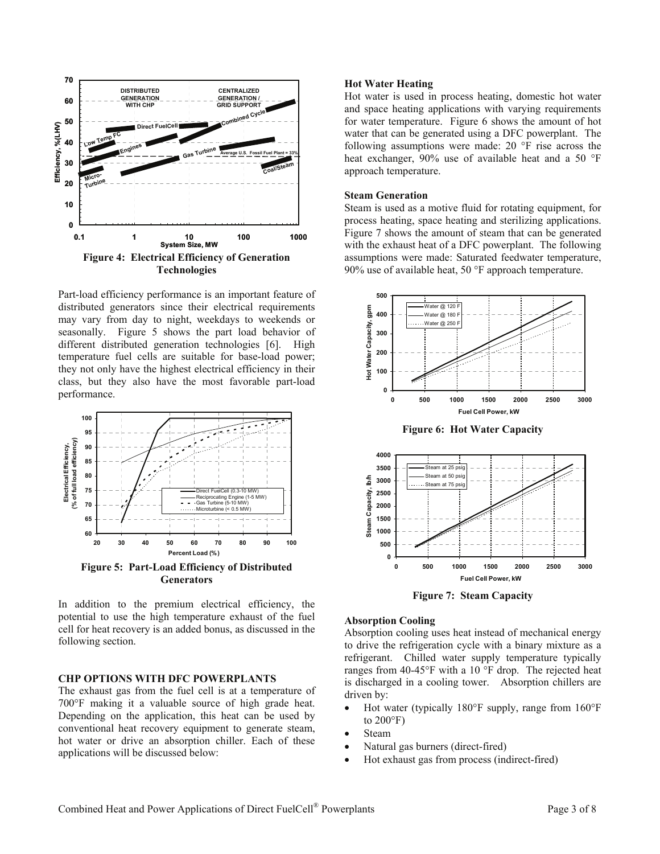

Part-load efficiency performance is an important feature of distributed generators since their electrical requirements may vary from day to night, weekdays to weekends or seasonally. Figure 5 shows the part load behavior of different distributed generation technologies [6]. High temperature fuel cells are suitable for base-load power; they not only have the highest electrical efficiency in their class, but they also have the most favorable part-load performance.



In addition to the premium electrical efficiency, the potential to use the high temperature exhaust of the fuel cell for heat recovery is an added bonus, as discussed in the following section.

## **CHP OPTIONS WITH DFC POWERPLANTS**

The exhaust gas from the fuel cell is at a temperature of 700°F making it a valuable source of high grade heat. Depending on the application, this heat can be used by conventional heat recovery equipment to generate steam, hot water or drive an absorption chiller. Each of these applications will be discussed below:

## **Hot Water Heating**

Hot water is used in process heating, domestic hot water and space heating applications with varying requirements for water temperature. Figure 6 shows the amount of hot water that can be generated using a DFC powerplant. The following assumptions were made: 20 °F rise across the heat exchanger, 90% use of available heat and a 50 °F approach temperature.

# **Steam Generation**

Steam is used as a motive fluid for rotating equipment, for process heating, space heating and sterilizing applications. Figure 7 shows the amount of steam that can be generated with the exhaust heat of a DFC powerplant. The following assumptions were made: Saturated feedwater temperature, 90% use of available heat, 50 °F approach temperature.



**Figure 6: Hot Water Capacity** 



**Figure 7: Steam Capacity** 

#### **Absorption Cooling**

Absorption cooling uses heat instead of mechanical energy to drive the refrigeration cycle with a binary mixture as a refrigerant. Chilled water supply temperature typically ranges from 40-45°F with a 10 °F drop. The rejected heat is discharged in a cooling tower. Absorption chillers are driven by:

- Hot water (typically 180°F supply, range from 160°F to  $200^{\circ}$ F)
- **Steam**
- Natural gas burners (direct-fired)
- Hot exhaust gas from process (indirect-fired)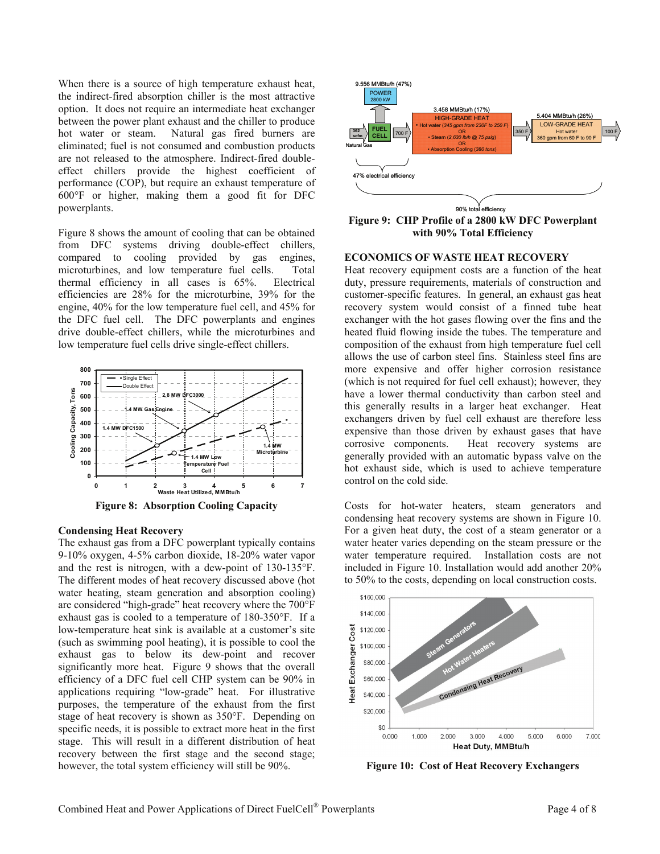When there is a source of high temperature exhaust heat, the indirect-fired absorption chiller is the most attractive option. It does not require an intermediate heat exchanger between the power plant exhaust and the chiller to produce hot water or steam. Natural gas fired burners are eliminated; fuel is not consumed and combustion products are not released to the atmosphere. Indirect-fired doubleeffect chillers provide the highest coefficient of performance (COP), but require an exhaust temperature of 600°F or higher, making them a good fit for DFC powerplants.

Figure 8 shows the amount of cooling that can be obtained from DFC systems driving double-effect chillers, compared to cooling provided by gas engines, microturbines, and low temperature fuel cells. Total thermal efficiency in all cases is 65%. Electrical efficiencies are 28% for the microturbine, 39% for the engine, 40% for the low temperature fuel cell, and 45% for the DFC fuel cell. The DFC powerplants and engines drive double-effect chillers, while the microturbines and low temperature fuel cells drive single-effect chillers.



#### **Condensing Heat Recovery**

The exhaust gas from a DFC powerplant typically contains 9-10% oxygen, 4-5% carbon dioxide, 18-20% water vapor and the rest is nitrogen, with a dew-point of 130-135°F. The different modes of heat recovery discussed above (hot water heating, steam generation and absorption cooling) are considered "high-grade" heat recovery where the 700°F exhaust gas is cooled to a temperature of 180-350°F. If a low-temperature heat sink is available at a customer's site (such as swimming pool heating), it is possible to cool the exhaust gas to below its dew-point and recover significantly more heat. Figure 9 shows that the overall efficiency of a DFC fuel cell CHP system can be 90% in applications requiring "low-grade" heat. For illustrative purposes, the temperature of the exhaust from the first stage of heat recovery is shown as 350°F. Depending on specific needs, it is possible to extract more heat in the first stage. This will result in a different distribution of heat recovery between the first stage and the second stage; however, the total system efficiency will still be 90%.



**Figure 9: CHP Profile of a 2800 kW DFC Powerplant with 90% Total Efficiency** 

## **ECONOMICS OF WASTE HEAT RECOVERY**

Heat recovery equipment costs are a function of the heat duty, pressure requirements, materials of construction and customer-specific features. In general, an exhaust gas heat recovery system would consist of a finned tube heat exchanger with the hot gases flowing over the fins and the heated fluid flowing inside the tubes. The temperature and composition of the exhaust from high temperature fuel cell allows the use of carbon steel fins. Stainless steel fins are more expensive and offer higher corrosion resistance (which is not required for fuel cell exhaust); however, they have a lower thermal conductivity than carbon steel and this generally results in a larger heat exchanger. Heat exchangers driven by fuel cell exhaust are therefore less expensive than those driven by exhaust gases that have corrosive components. Heat recovery systems are generally provided with an automatic bypass valve on the hot exhaust side, which is used to achieve temperature control on the cold side.

Costs for hot-water heaters, steam generators and condensing heat recovery systems are shown in Figure 10. For a given heat duty, the cost of a steam generator or a water heater varies depending on the steam pressure or the water temperature required. Installation costs are not included in Figure 10. Installation would add another 20% to 50% to the costs, depending on local construction costs.



**Figure 10: Cost of Heat Recovery Exchangers**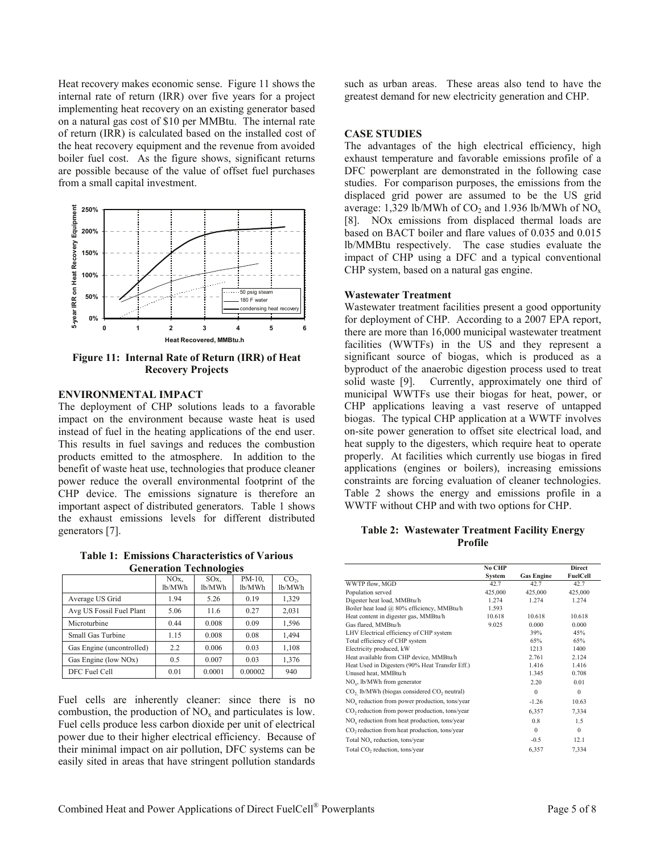Heat recovery makes economic sense. Figure 11 shows the internal rate of return (IRR) over five years for a project implementing heat recovery on an existing generator based on a natural gas cost of \$10 per MMBtu. The internal rate of return (IRR) is calculated based on the installed cost of the heat recovery equipment and the revenue from avoided boiler fuel cost. As the figure shows, significant returns are possible because of the value of offset fuel purchases from a small capital investment.



**Figure 11: Internal Rate of Return (IRR) of Heat Recovery Projects** 

## **ENVIRONMENTAL IMPACT**

The deployment of CHP solutions leads to a favorable impact on the environment because waste heat is used instead of fuel in the heating applications of the end user. This results in fuel savings and reduces the combustion products emitted to the atmosphere. In addition to the benefit of waste heat use, technologies that produce cleaner power reduce the overall environmental footprint of the CHP device. The emissions signature is therefore an important aspect of distributed generators. Table 1 shows the exhaust emissions levels for different distributed generators [7].

**Table 1: Emissions Characteristics of Various Generation Technologies** 

|                           | $\overline{\phantom{a}}$  |                           |                  |                           |  |  |
|---------------------------|---------------------------|---------------------------|------------------|---------------------------|--|--|
|                           | NO <sub>x</sub><br>lb/MWh | SO <sub>x</sub><br>lb/MWh | PM-10,<br>lb/MWh | CO <sub>2</sub><br>lb/MWh |  |  |
| Average US Grid           | 1.94                      | 5.26                      | 0.19             | 1,329                     |  |  |
| Avg US Fossil Fuel Plant  | 5.06                      | 11.6                      | 0.27             | 2,031                     |  |  |
| Microturbine              | 0.44                      | 0.008                     | 0.09             | 1,596                     |  |  |
| Small Gas Turbine         | 1.15                      | 0.008                     | 0.08             | 1.494                     |  |  |
| Gas Engine (uncontrolled) | 22                        | 0.006                     | 0.03             | 1,108                     |  |  |
| Gas Engine (low NOx)      | 0.5                       | 0.007                     | 0.03             | 1,376                     |  |  |
| DFC Fuel Cell             | 0.01                      | 0.0001                    | 0.00002          | 940                       |  |  |

Fuel cells are inherently cleaner: since there is no combustion, the production of  $NO<sub>x</sub>$  and particulates is low. Fuel cells produce less carbon dioxide per unit of electrical power due to their higher electrical efficiency. Because of their minimal impact on air pollution, DFC systems can be easily sited in areas that have stringent pollution standards

such as urban areas. These areas also tend to have the greatest demand for new electricity generation and CHP.

#### **CASE STUDIES**

The advantages of the high electrical efficiency, high exhaust temperature and favorable emissions profile of a DFC powerplant are demonstrated in the following case studies. For comparison purposes, the emissions from the displaced grid power are assumed to be the US grid average: 1,329 lb/MWh of  $CO_2$  and 1.936 lb/MWh of  $NO_x$ [8]. NOx emissions from displaced thermal loads are based on BACT boiler and flare values of 0.035 and 0.015 lb/MMBtu respectively. The case studies evaluate the impact of CHP using a DFC and a typical conventional CHP system, based on a natural gas engine.

#### **Wastewater Treatment**

Wastewater treatment facilities present a good opportunity for deployment of CHP. According to a 2007 EPA report, there are more than 16,000 municipal wastewater treatment facilities (WWTFs) in the US and they represent a significant source of biogas, which is produced as a byproduct of the anaerobic digestion process used to treat solid waste [9]. Currently, approximately one third of municipal WWTFs use their biogas for heat, power, or CHP applications leaving a vast reserve of untapped biogas. The typical CHP application at a WWTF involves on-site power generation to offset site electrical load, and heat supply to the digesters, which require heat to operate properly. At facilities which currently use biogas in fired applications (engines or boilers), increasing emissions constraints are forcing evaluation of cleaner technologies. Table 2 shows the energy and emissions profile in a WWTF without CHP and with two options for CHP.

## **Table 2: Wastewater Treatment Facility Energy Profile**

|                                                                    | No CHP  |                   | <b>Direct</b> |
|--------------------------------------------------------------------|---------|-------------------|---------------|
|                                                                    | System  | <b>Gas Engine</b> | FuelCell      |
| WWTP flow, MGD                                                     | 42.7    | 42.7              | 42.7          |
| Population served                                                  | 425,000 | 425,000           | 425,000       |
| Digester heat load, MMBtu/h                                        | 1.274   | 1.274             | 1.274         |
| Boiler heat load @ 80% efficiency, MMBtu/h                         | 1.593   |                   |               |
| Heat content in digester gas, MMBtu/h                              | 10.618  | 10.618            | 10.618        |
| Gas flared, MMBtu/h                                                | 9.025   | 0.000             | 0.000         |
| LHV Electrical efficiency of CHP system                            |         | 39%               | 45%           |
| Total efficiency of CHP system                                     |         | 65%               | 65%           |
| Electricity produced, kW                                           |         | 1213              | 1400          |
| Heat available from CHP device, MMBtu/h                            |         | 2.761             | 2.124         |
| Heat Used in Digesters (90% Heat Transfer Eff.)                    |         | 1.416             | 1.416         |
| Unused heat, MMBtu/h                                               |         | 1.345             | 0.708         |
| $NOx$ , lb/MWh from generator                                      |         | 2.20              | 0.01          |
| CO <sub>2</sub> lb/MWh (biogas considered CO <sub>2</sub> neutral) |         | $\theta$          | $\mathbf{0}$  |
| $NOx$ reduction from power production, tons/year                   |         | $-1.26$           | 10.63         |
| CO <sub>2</sub> reduction from power production, tons/year         |         | 6,357             | 7,334         |
| $NOx$ reduction from heat production, tons/year                    |         | 0.8               | 1.5           |
| CO <sub>2</sub> reduction from heat production, tons/year          |         | $\Omega$          | $\mathbf{0}$  |
| Total NO <sub>v</sub> reduction, tons/year                         |         | $-0.5$            | 12.1          |
| Total CO <sub>2</sub> reduction, tons/year                         |         | 6,357             | 7,334         |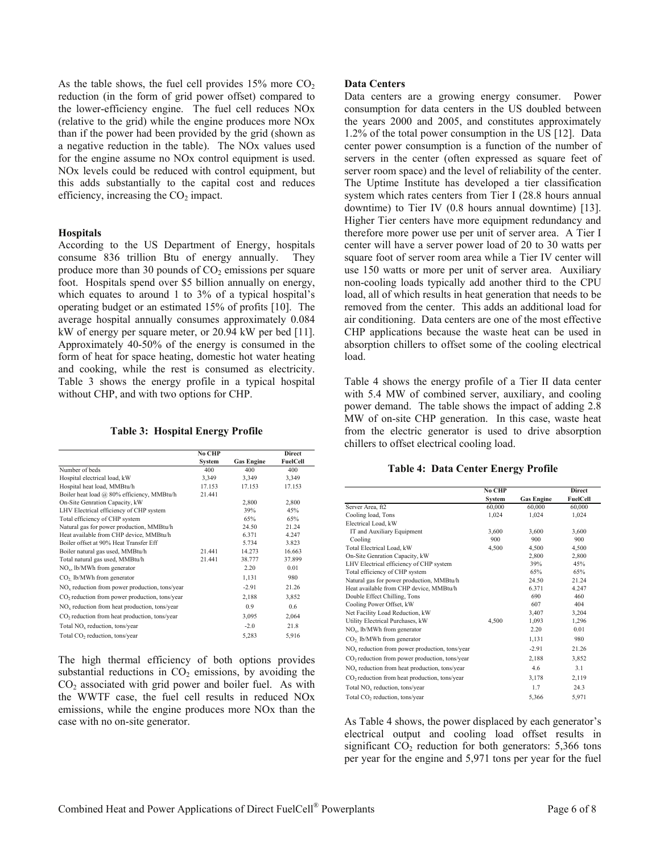As the table shows, the fuel cell provides  $15\%$  more  $CO<sub>2</sub>$ reduction (in the form of grid power offset) compared to the lower-efficiency engine. The fuel cell reduces NOx (relative to the grid) while the engine produces more NOx than if the power had been provided by the grid (shown as a negative reduction in the table). The NOx values used for the engine assume no NOx control equipment is used. NOx levels could be reduced with control equipment, but this adds substantially to the capital cost and reduces efficiency, increasing the  $CO<sub>2</sub>$  impact.

## **Hospitals**

According to the US Department of Energy, hospitals consume 836 trillion Btu of energy annually. They produce more than 30 pounds of  $CO<sub>2</sub>$  emissions per square foot. Hospitals spend over \$5 billion annually on energy, which equates to around 1 to 3% of a typical hospital's operating budget or an estimated 15% of profits [10]. The average hospital annually consumes approximately 0.084 kW of energy per square meter, or 20.94 kW per bed [11]. Approximately 40-50% of the energy is consumed in the form of heat for space heating, domestic hot water heating and cooking, while the rest is consumed as electricity. Table 3 shows the energy profile in a typical hospital without CHP, and with two options for CHP.

## **Table 3: Hospital Energy Profile**

|                                                           | No CHP |                   | <b>Direct</b> |
|-----------------------------------------------------------|--------|-------------------|---------------|
|                                                           | System | <b>Gas Engine</b> | FuelCell      |
| Number of beds                                            | 400    | 400               | 400           |
| Hospital electrical load, kW                              | 3,349  | 3,349             | 3,349         |
| Hospital heat load, MMBtu/h                               | 17.153 | 17.153            | 17.153        |
| Boiler heat load @ 80% efficiency, MMBtu/h                | 21.441 |                   |               |
| On-Site Genration Capacity, kW                            |        | 2,800             | 2,800         |
| LHV Electrical efficiency of CHP system                   |        | 39%               | 45%           |
| Total efficiency of CHP system                            |        | 65%               | 65%           |
| Natural gas for power production, MMBtu/h                 |        | 24.50             | 21.24         |
| Heat available from CHP device, MMBtu/h                   |        | 6.371             | 4 2 4 7       |
| Boiler offset at 90% Heat Transfer Eff                    |        | 5.734             | 3.823         |
| Boiler natural gas used, MMBtu/h                          | 21 441 | 14.273            | 16.663        |
| Total natural gas used, MMBtu/h                           | 21.441 | 38.777            | 37.899        |
| $NOx$ , lb/MWh from generator                             |        | 2.20              | 0.01          |
| $CO2$ lb/MWh from generator                               |        | 1,131             | 980           |
| $NOx$ reduction from power production, tons/year          |        | $-2.91$           | 21.26         |
| $CO2$ reduction from power production, tons/year          |        | 2,188             | 3,852         |
| $NOx$ reduction from heat production, tons/year           |        | 0.9               | 0.6           |
| CO <sub>2</sub> reduction from heat production, tons/year |        | 3,095             | 2,064         |
| Total NO <sub>v</sub> reduction, tons/year                |        | $-2.0$            | 21.8          |
| Total CO <sub>2</sub> reduction, tons/year                |        | 5,283             | 5,916         |
|                                                           |        |                   |               |

The high thermal efficiency of both options provides substantial reductions in  $CO<sub>2</sub>$  emissions, by avoiding the  $CO<sub>2</sub>$  associated with grid power and boiler fuel. As with the WWTF case, the fuel cell results in reduced NOx emissions, while the engine produces more NOx than the case with no on-site generator.

# **Data Centers**

Data centers are a growing energy consumer. Power consumption for data centers in the US doubled between the years 2000 and 2005, and constitutes approximately 1.2% of the total power consumption in the US [12]. Data center power consumption is a function of the number of servers in the center (often expressed as square feet of server room space) and the level of reliability of the center. The Uptime Institute has developed a tier classification system which rates centers from Tier I (28.8 hours annual downtime) to Tier IV (0.8 hours annual downtime) [13]. Higher Tier centers have more equipment redundancy and therefore more power use per unit of server area. A Tier I center will have a server power load of 20 to 30 watts per square foot of server room area while a Tier IV center will use 150 watts or more per unit of server area. Auxiliary non-cooling loads typically add another third to the CPU load, all of which results in heat generation that needs to be removed from the center. This adds an additional load for air conditioning. Data centers are one of the most effective CHP applications because the waste heat can be used in absorption chillers to offset some of the cooling electrical load.

Table 4 shows the energy profile of a Tier II data center with 5.4 MW of combined server, auxiliary, and cooling power demand. The table shows the impact of adding 2.8 MW of on-site CHP generation. In this case, waste heat from the electric generator is used to drive absorption chillers to offset electrical cooling load.

# **Table 4: Data Center Energy Profile**

|                                                            | No CHP |                   | <b>Direct</b> |
|------------------------------------------------------------|--------|-------------------|---------------|
|                                                            | System | <b>Gas Engine</b> | FuelCell      |
| Server Area, ft2                                           | 60,000 | 60,000            | 60,000        |
| Cooling load, Tons                                         | 1,024  | 1,024             | 1,024         |
| Electrical Load, kW                                        |        |                   |               |
| IT and Auxiliary Equipment                                 | 3,600  | 3,600             | 3,600         |
| Cooling                                                    | 900    | 900               | 900           |
| Total Electrical Load, kW                                  | 4,500  | 4,500             | 4,500         |
| On-Site Genration Capacity, kW                             |        | 2,800             | 2,800         |
| LHV Electrical efficiency of CHP system                    |        | 39%               | 45%           |
| Total efficiency of CHP system                             |        | 65%               | 65%           |
| Natural gas for power production, MMBtu/h                  |        | 24.50             | 21.24         |
| Heat available from CHP device, MMBtu/h                    |        | 6.371             | 4.247         |
| Double Effect Chilling, Tons                               |        | 690               | 460           |
| Cooling Power Offset, kW                                   |        | 607               | 404           |
| Net Facility Load Reduction, kW                            |        | 3,407             | 3,204         |
| Utility Electrical Purchases, kW                           | 4,500  | 1,093             | 1,296         |
| $NOx$ , lb/MWh from generator                              |        | 2.20              | 0.01          |
| CO <sub>2</sub> lb/MWh from generator                      |        | 1,131             | 980           |
| NO <sub>x</sub> reduction from power production, tons/year |        | $-2.91$           | 21.26         |
| CO <sub>2</sub> reduction from power production, tons/year |        | 2,188             | 3,852         |
| $NOx$ reduction from heat production, tons/year            |        | 4.6               | 3.1           |
| CO <sub>2</sub> reduction from heat production, tons/year  |        | 3,178             | 2,119         |
| Total NO <sub>v</sub> reduction, tons/year                 |        | 1.7               | 24.3          |
| Total CO <sub>2</sub> reduction, tons/year                 |        | 5,366             | 5,971         |

As Table 4 shows, the power displaced by each generator's electrical output and cooling load offset results in significant  $CO<sub>2</sub>$  reduction for both generators: 5,366 tons per year for the engine and 5,971 tons per year for the fuel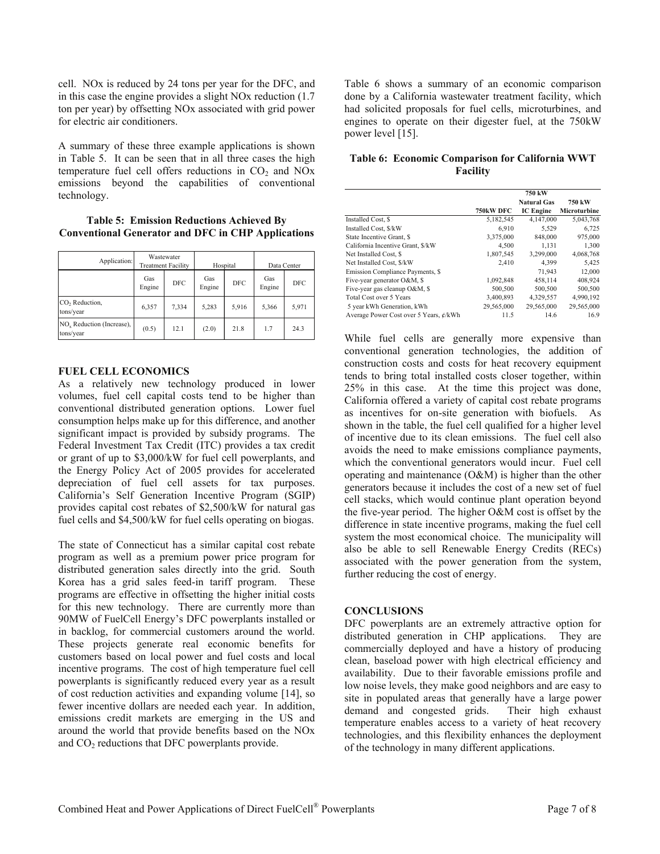cell. NOx is reduced by 24 tons per year for the DFC, and in this case the engine provides a slight NOx reduction (1.7 ton per year) by offsetting NOx associated with grid power for electric air conditioners.

A summary of these three example applications is shown in Table 5. It can be seen that in all three cases the high temperature fuel cell offers reductions in  $CO<sub>2</sub>$  and  $NOx$ emissions beyond the capabilities of conventional technology.

**Table 5: Emission Reductions Achieved By Conventional Generator and DFC in CHP Applications**

| Application:                                       | Wastewater<br><b>Treatment Facility</b> |            | Hospital      |            | Data Center   |            |
|----------------------------------------------------|-----------------------------------------|------------|---------------|------------|---------------|------------|
|                                                    | Gas<br>Engine                           | <b>DFC</b> | Gas<br>Engine | <b>DFC</b> | Gas<br>Engine | <b>DFC</b> |
| CO <sub>2</sub> Reduction,<br>tons/year            | 6,357                                   | 7,334      | 5,283         | 5,916      | 5,366         | 5,971      |
| NO <sub>x</sub> Reduction (Increase),<br>tons/year | (0.5)                                   | 12.1       | (2.0)         | 21.8       | 1.7           | 24.3       |

# **FUEL CELL ECONOMICS**

As a relatively new technology produced in lower volumes, fuel cell capital costs tend to be higher than conventional distributed generation options. Lower fuel consumption helps make up for this difference, and another significant impact is provided by subsidy programs. The Federal Investment Tax Credit (ITC) provides a tax credit or grant of up to \$3,000/kW for fuel cell powerplants, and the Energy Policy Act of 2005 provides for accelerated depreciation of fuel cell assets for tax purposes. California's Self Generation Incentive Program (SGIP) provides capital cost rebates of \$2,500/kW for natural gas fuel cells and \$4,500/kW for fuel cells operating on biogas.

The state of Connecticut has a similar capital cost rebate program as well as a premium power price program for distributed generation sales directly into the grid. South Korea has a grid sales feed-in tariff program. These programs are effective in offsetting the higher initial costs for this new technology. There are currently more than 90MW of FuelCell Energy's DFC powerplants installed or in backlog, for commercial customers around the world. These projects generate real economic benefits for customers based on local power and fuel costs and local incentive programs. The cost of high temperature fuel cell powerplants is significantly reduced every year as a result of cost reduction activities and expanding volume [14], so fewer incentive dollars are needed each year. In addition, emissions credit markets are emerging in the US and around the world that provide benefits based on the NOx and  $CO<sub>2</sub>$  reductions that DFC powerplants provide.

Table 6 shows a summary of an economic comparison done by a California wastewater treatment facility, which had solicited proposals for fuel cells, microturbines, and engines to operate on their digester fuel, at the 750kW power level [15].

# **Table 6: Economic Comparison for California WWT Facility**

|                                        | 750 kW           |                    |              |  |  |
|----------------------------------------|------------------|--------------------|--------------|--|--|
|                                        |                  | <b>Natural Gas</b> | 750 kW       |  |  |
|                                        | <b>750kW DFC</b> | <b>IC</b> Engine   | Microturbine |  |  |
| Installed Cost, \$                     | 5,182,545        | 4,147,000          | 5.043.768    |  |  |
| Installed Cost, \$/kW                  | 6,910            | 5,529              | 6,725        |  |  |
| State Incentive Grant, \$              | 3,375,000        | 848,000            | 975,000      |  |  |
| California Incentive Grant, \$/kW      | 4,500            | 1,131              | 1,300        |  |  |
| Net Installed Cost. \$                 | 1,807,545        | 3.299.000          | 4,068,768    |  |  |
| Net Installed Cost, \$/kW              | 2,410            | 4,399              | 5,425        |  |  |
| Emission Compliance Payments, \$       |                  | 71,943             | 12,000       |  |  |
| Five-year generator O&M, \$            | 1,092,848        | 458,114            | 408,924      |  |  |
| Five-year gas cleanup O&M, \$          | 500,500          | 500,500            | 500,500      |  |  |
| Total Cost over 5 Years                | 3.400.893        | 4,329,557          | 4,990,192    |  |  |
| 5 year kWh Generation, kWh             | 29,565,000       | 29,565,000         | 29,565,000   |  |  |
| Average Power Cost over 5 Years, ¢/kWh | 11.5             | 14.6               | 16.9         |  |  |

While fuel cells are generally more expensive than conventional generation technologies, the addition of construction costs and costs for heat recovery equipment tends to bring total installed costs closer together, within 25% in this case. At the time this project was done, California offered a variety of capital cost rebate programs as incentives for on-site generation with biofuels. As shown in the table, the fuel cell qualified for a higher level of incentive due to its clean emissions. The fuel cell also avoids the need to make emissions compliance payments, which the conventional generators would incur. Fuel cell operating and maintenance (O&M) is higher than the other generators because it includes the cost of a new set of fuel cell stacks, which would continue plant operation beyond the five-year period. The higher O&M cost is offset by the difference in state incentive programs, making the fuel cell system the most economical choice. The municipality will also be able to sell Renewable Energy Credits (RECs) associated with the power generation from the system, further reducing the cost of energy.

# **CONCLUSIONS**

DFC powerplants are an extremely attractive option for distributed generation in CHP applications. They are commercially deployed and have a history of producing clean, baseload power with high electrical efficiency and availability. Due to their favorable emissions profile and low noise levels, they make good neighbors and are easy to site in populated areas that generally have a large power demand and congested grids. Their high exhaust temperature enables access to a variety of heat recovery technologies, and this flexibility enhances the deployment of the technology in many different applications.